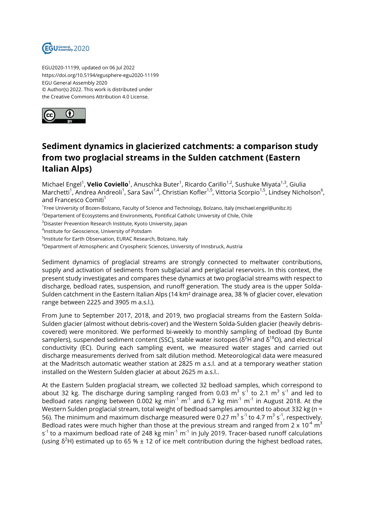

EGU2020-11199, updated on 06 Jul 2022 https://doi.org/10.5194/egusphere-egu2020-11199 EGU General Assembly 2020 © Author(s) 2022. This work is distributed under the Creative Commons Attribution 4.0 License.



## **Sediment dynamics in glacierized catchments: a comparison study from two proglacial streams in the Sulden catchment (Eastern Italian Alps)**

Michael Engel<sup>1</sup>, **Velio Coviello**<sup>1</sup>, Anuschka Buter<sup>1</sup>, Ricardo Carillo<sup>1,2</sup>, Sushuke Miyata<sup>1,3</sup>, Giulia Marchetti<sup>1</sup>, Andrea Andreoli<sup>1</sup>, Sara Savi<sup>1,4</sup>, Christian Kofler<sup>1,5</sup>, Vittoria Scorpio<sup>1,5</sup>, Lindsey Nicholson<sup>6</sup>, and Francesco Comiti<sup>1</sup>

<sup>1</sup> Free University of Bozen-Bolzano, Faculty of Science and Technology, Bolzano, Italy (michael.engel@unibz.it)

<sup>2</sup>Departement of Ecosystems and Environments, Pontifical Catholic University of Chile, Chile

<sup>3</sup>Disaster Prevention Research Institute, Kyoto University, Japan

4 Institute for Geoscience, University of Potsdam

<sup>5</sup>Institute for Earth Observation, EURAC Research, Bolzano, Italy

<sup>6</sup>Department of Atmospheric and Cryospheric Sciences, University of Innsbruck, Austria

Sediment dynamics of proglacial streams are strongly connected to meltwater contributions, supply and activation of sediments from subglacial and periglacial reservoirs. In this context, the present study investigates and compares these dynamics at two proglacial streams with respect to discharge, bedload rates, suspension, and runoff generation. The study area is the upper Solda-Sulden catchment in the Eastern Italian Alps (14 km² drainage area, 38 % of glacier cover, elevation range between 2225 and 3905 m a.s.l.).

From June to September 2017, 2018, and 2019, two proglacial streams from the Eastern Solda-Sulden glacier (almost without debris-cover) and the Western Solda-Sulden glacier (heavily debriscovered) were monitored. We performed bi-weekly to monthly sampling of bedload (by Bunte samplers), suspended sediment content (SSC), stable water isotopes ( $\delta^2$ H and  $\delta^{18}$ O), and electrical conductivity (EC). During each sampling event, we measured water stages and carried out discharge measurements derived from salt dilution method. Meteorological data were measured at the Madritsch automatic weather station at 2825 m a.s.l. and at a temporary weather station installed on the Western Sulden glacier at about 2625 m a.s.l..

At the Eastern Sulden proglacial stream, we collected 32 bedload samples, which correspond to about 32 kg. The discharge during sampling ranged from 0.03  $\mathrm{m^{3}~s^{1}}$  to 2.1  $\mathrm{m^{3}~s^{1}}$  and led to bedload rates ranging between 0.002 kg min $^1$  m $^1$  and 6.7 kg min $^1$  m $^1$  in August 2018. At the Western Sulden proglacial stream, total weight of bedload samples amounted to about 332 kg (n = 56). The minimum and maximum discharge measured were 0.27  $\text{m}^{3}$  s $^{\text{-1}}$  to 4.7  $\text{m}^{3}$  s $^{\text{-1}}$ , respectively. Bedload rates were much higher than those at the previous stream and ranged from 2 x 10<sup>-4</sup> m $^3$ s<sup>-1</sup> to a maximum bedload rate of 248 kg min<sup>-1</sup> m<sup>-1</sup> in July 2019. Tracer-based runoff calculations (using  $\delta^2$ H) estimated up to 65 % ± 12 of ice melt contribution during the highest bedload rates,